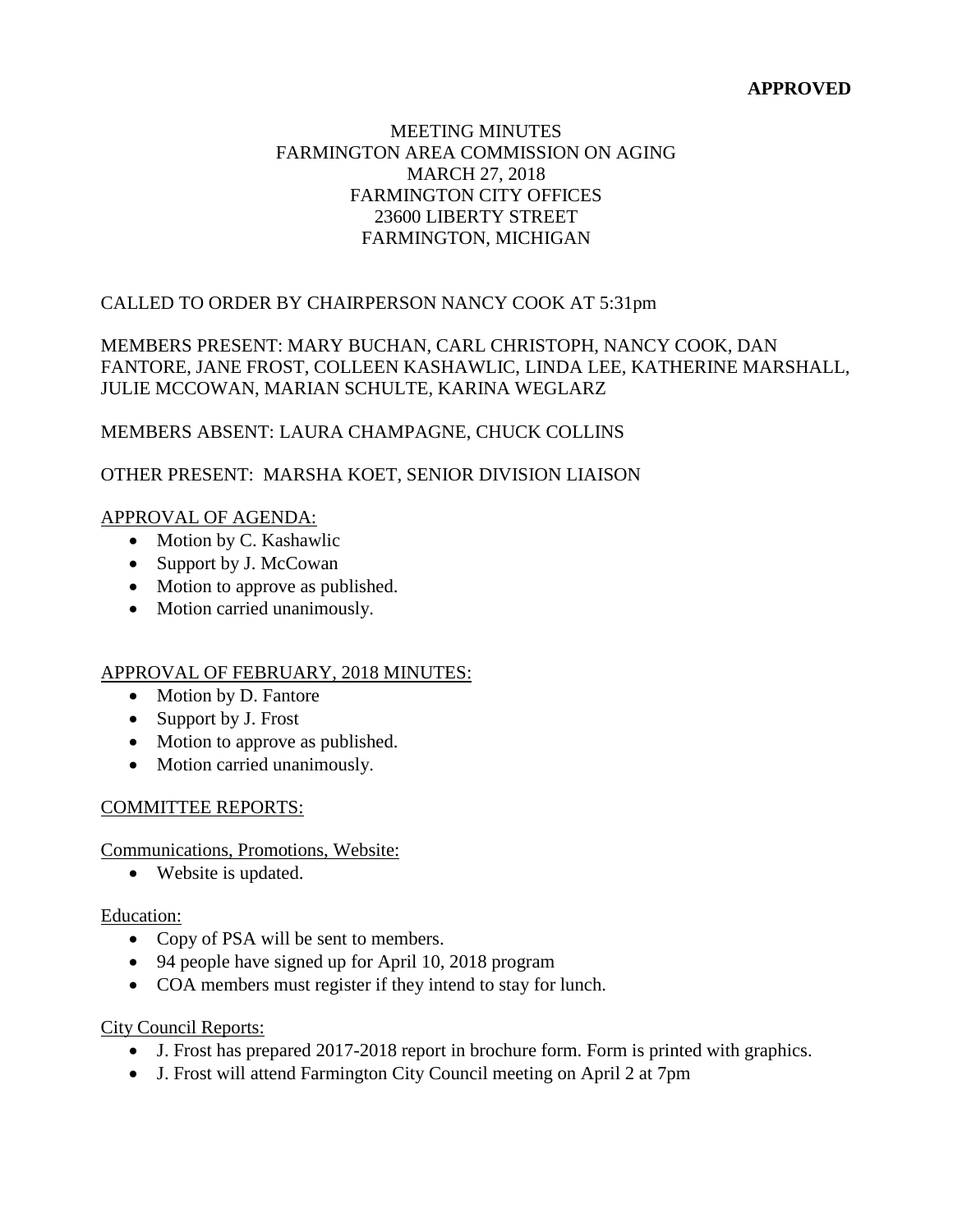## **APPROVED**

## MEETING MINUTES FARMINGTON AREA COMMISSION ON AGING MARCH 27, 2018 FARMINGTON CITY OFFICES 23600 LIBERTY STREET FARMINGTON, MICHIGAN

# CALLED TO ORDER BY CHAIRPERSON NANCY COOK AT 5:31pm

## MEMBERS PRESENT: MARY BUCHAN, CARL CHRISTOPH, NANCY COOK, DAN FANTORE, JANE FROST, COLLEEN KASHAWLIC, LINDA LEE, KATHERINE MARSHALL, JULIE MCCOWAN, MARIAN SCHULTE, KARINA WEGLARZ

## MEMBERS ABSENT: LAURA CHAMPAGNE, CHUCK COLLINS

# OTHER PRESENT: MARSHA KOET, SENIOR DIVISION LIAISON

#### APPROVAL OF AGENDA:

- Motion by C. Kashawlic
- Support by J. McCowan
- Motion to approve as published.
- Motion carried unanimously.

#### APPROVAL OF FEBRUARY, 2018 MINUTES:

- Motion by D. Fantore
- Support by J. Frost
- Motion to approve as published.
- Motion carried unanimously.

#### COMMITTEE REPORTS:

Communications, Promotions, Website:

• Website is updated.

#### Education:

- Copy of PSA will be sent to members.
- 94 people have signed up for April 10, 2018 program
- COA members must register if they intend to stay for lunch.

#### City Council Reports:

- J. Frost has prepared 2017-2018 report in brochure form. Form is printed with graphics.
- J. Frost will attend Farmington City Council meeting on April 2 at 7pm